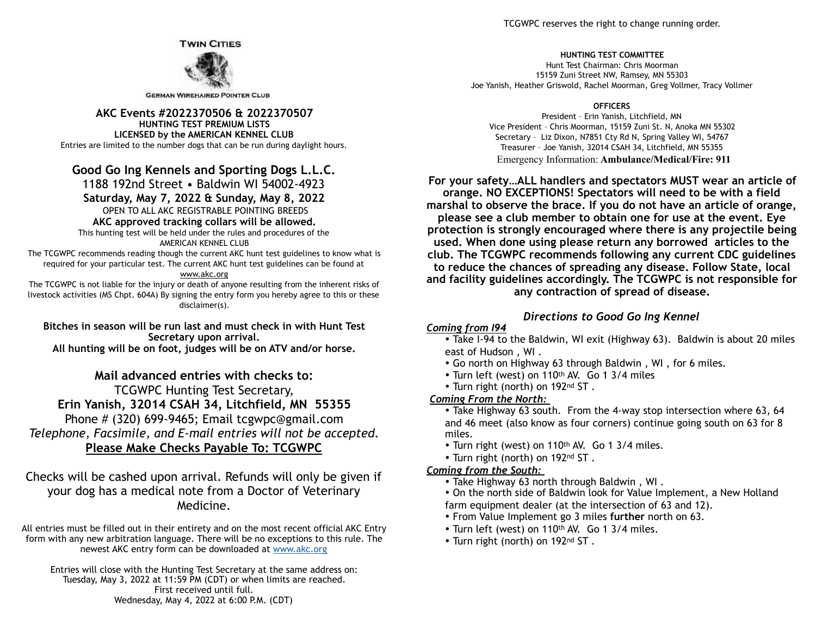#### **TWIN CITIES**



**GERMAN WIREHAIRED POINTER CLUB** 

#### **AKC Events #2022370506 & 2022370507 HUNTING TEST PREMIUM LISTS LICENSED by the AMERICAN KENNEL CLUB**  Entries are limited to the number dogs that can be run during daylight hours.

## **Good Go Ing Kennels and Sporting Dogs L.L.C.**

1188 192nd Street • Baldwin WI 54002-4923

### **Saturday, May 7, 2022 & Sunday, May 8, 2022**

OPEN TO ALL AKC REGISTRABLE POINTING BREEDS

### **AKC approved tracking collars will be allowed.**

This hunting test will be held under the rules and procedures of the

#### AMERICAN KENNEL CLUB

The TCGWPC recommends reading though the current AKC hunt test guidelines to know what is required for your particular test. The current AKC hunt test guidelines can be found at

#### www.akc.org

The TCGWPC is not liable for the injury or death of anyone resulting from the inherent risks of livestock activities (MS Chpt. 604A) By signing the entry form you hereby agree to this or these disclaimer(s).

**Bitches in season will be run last and must check in with Hunt Test Secretary upon arrival.** 

**All hunting will be on foot, judges will be on ATV and/or horse.** 

### **Mail advanced entries with checks to:**  TCGWPC Hunting Test Secretary, **Erin Yanish, 32014 CSAH 34, Litchfield, MN 55355**  Phone # (320) 699-9465; Email tcgwpc@gmail.com *Telephone, Facsimile, and E-mail entries will not be accepted.*  **Please Make Checks Payable To: TCGWPC**

Checks will be cashed upon arrival. Refunds will only be given if your dog has a medical note from a Doctor of Veterinary Medicine.

All entries must be filled out in their entirety and on the most recent official AKC Entry form with any new arbitration language. There will be no exceptions to this rule. The newest AKC entry form can be downloaded at [www.akc.org](http://www.akc.org)

Entries will close with the Hunting Test Secretary at the same address on: Tuesday, May 3, 2022 at 11:59 PM (CDT) or when limits are reached. First received until full. Wednesday, May 4, 2022 at 6:00 P.M. (CDT)

#### **HUNTING TEST COMMITTEE**

Hunt Test Chairman: Chris Moorman 15159 Zuni Street NW, Ramsey, MN 55303 Joe Yanish, Heather Griswold, Rachel Moorman, Greg Vollmer, Tracy Vollmer

#### **OFFICERS**

President – Erin Yanish, Litchfield, MN Vice President – Chris Moorman, 15159 Zuni St. N, Anoka MN 55302 Secretary – Liz Dixon, N7851 Cty Rd N, Spring Valley WI, 54767 Treasurer – Joe Yanish, 32014 CSAH 34, Litchfield, MN 55355 Emergency Information: **Ambulance/Medical/Fire: 911**

**For your safety…ALL handlers and spectators MUST wear an article of orange. NO EXCEPTIONS! Spectators will need to be with a field marshal to observe the brace. If you do not have an article of orange, please see a club member to obtain one for use at the event. Eye protection is strongly encouraged where there is any projectile being used. When done using please return any borrowed articles to the club. The TCGWPC recommends following any current CDC guidelines to reduce the chances of spreading any disease. Follow State, local and facility guidelines accordingly. The TCGWPC is not responsible for any contraction of spread of disease.** 

### *Directions to Good Go Ing Kennel*

#### *Coming from I94*

• Take I-94 to the Baldwin, WI exit (Highway 63). Baldwin is about 20 miles east of Hudson , WI .

- Go north on Highway 63 through Baldwin , WI , for 6 miles.
- Turn left (west) on 110th AV. Go 1 3/4 miles
- Turn right (north) on 192<sup>nd</sup> ST.

#### *Coming From the North:*

• Take Highway 63 south. From the 4-way stop intersection where 63, 64 and 46 meet (also know as four corners) continue going south on 63 for 8 miles.

- Turn right (west) on 110<sup>th</sup> AV. Go 1 3/4 miles.
- Turn right (north) on 192nd ST .

### *Coming from the South:*

- Take Highway 63 north through Baldwin , WI .
- On the north side of Baldwin look for Value Implement, a New Holland farm equipment dealer (at the intersection of 63 and 12).
- From Value Implement go 3 miles **further** north on 63.
- Turn left (west) on 110th AV. Go 1 3/4 miles.
- Turn right (north) on 192<sup>nd</sup> ST.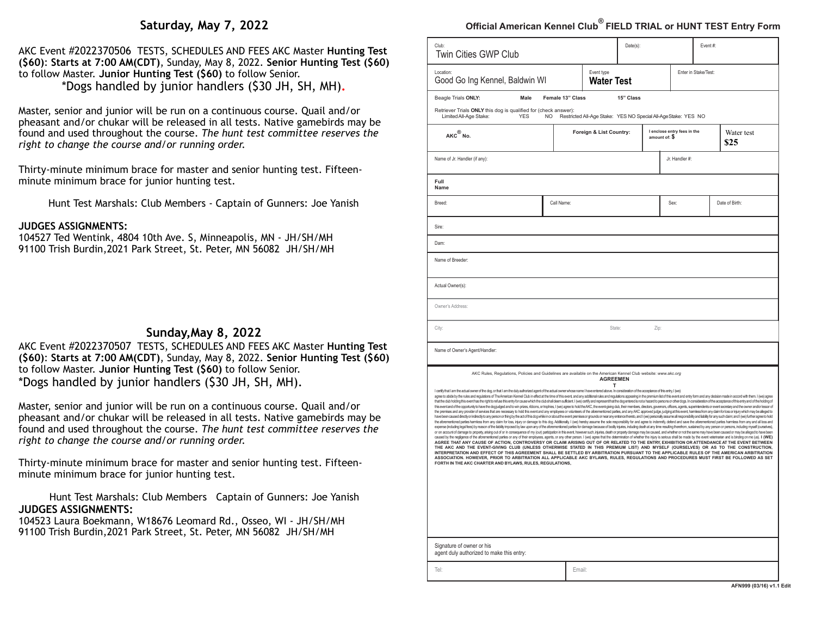### **Saturday, May 7, 2022**

AKC Event #2022370506 TESTS, SCHEDULES AND FEES AKC Master **Hunting Test (\$60)**: **Starts at 7:00 AM(CDT)**, Sunday, May 8, 2022. **Senior Hunting Test (\$60)** to follow Master. **Junior Hunting Test (\$60)** to follow Senior. \*Dogs handled by junior handlers (\$30 JH, SH, MH)**.**

Master, senior and junior will be run on a continuous course. Quail and/or pheasant and/or chukar will be released in all tests. Native gamebirds may be found and used throughout the course. *The hunt test committee reserves the right to change the course and/or running order.* 

Thirty-minute minimum brace for master and senior hunting test. Fifteenminute minimum brace for junior hunting test.

Hunt Test Marshals: Club Members - Captain of Gunners: Joe Yanish

#### **JUDGES ASSIGNMENTS:**

104527 Ted Wentink, 4804 10th Ave. S, Minneapolis, MN - JH/SH/MH 91100 Trish Burdin,2021 Park Street, St. Peter, MN 56082 JH/SH/MH

### **Sunday,May 8, 2022**

AKC Event #2022370507 TESTS, SCHEDULES AND FEES AKC Master **Hunting Test (\$60)**: **Starts at 7:00 AM(CDT)**, Sunday, May 8, 2022. **Senior Hunting Test (\$60)** to follow Master. **Junior Hunting Test (\$60)** to follow Senior. \*Dogs handled by junior handlers (\$30 JH, SH, MH).

Master, senior and junior will be run on a continuous course. Quail and/or pheasant and/or chukar will be released in all tests. Native gamebirds may be found and used throughout the course. *The hunt test committee reserves the right to change the course and/or running order.* 

Thirty-minute minimum brace for master and senior hunting test. Fifteenminute minimum brace for junior hunting test.

Hunt Test Marshals: Club Members Captain of Gunners: Joe Yanish **JUDGES ASSIGNMENTS:** 

104523 Laura Boekmann, W18676 Leomard Rd., Osseo, WI - JH/SH/MH 91100 Trish Burdin,2021 Park Street, St. Peter, MN 56082 JH/SH/MH

# **Official American Kennel Club® FIELD TRIAL or HUNT TEST Entry Form**

| Club:<br>Twin Cities GWP Club                                                                                                                                                                                                                                                                                                                                                                                                                                                                                                                                                                                                                                                                                                                                                                                                                                                                                                                                                                                                                                                                                                                                                                                                                                                                                                                                                                                                                                                                                                                                                                                                                                                                                                                                                                                                                                                                                                                                                                                                                                                                                                                                                                                                                                                                                                                                                                                                                                                                                                                                                                                                                                                                                                                                                                                                                                                                                                                                                                                                                                                 |                                 |                                                                | Date(s):  |               |                             | Event #:       |                    |  |
|-------------------------------------------------------------------------------------------------------------------------------------------------------------------------------------------------------------------------------------------------------------------------------------------------------------------------------------------------------------------------------------------------------------------------------------------------------------------------------------------------------------------------------------------------------------------------------------------------------------------------------------------------------------------------------------------------------------------------------------------------------------------------------------------------------------------------------------------------------------------------------------------------------------------------------------------------------------------------------------------------------------------------------------------------------------------------------------------------------------------------------------------------------------------------------------------------------------------------------------------------------------------------------------------------------------------------------------------------------------------------------------------------------------------------------------------------------------------------------------------------------------------------------------------------------------------------------------------------------------------------------------------------------------------------------------------------------------------------------------------------------------------------------------------------------------------------------------------------------------------------------------------------------------------------------------------------------------------------------------------------------------------------------------------------------------------------------------------------------------------------------------------------------------------------------------------------------------------------------------------------------------------------------------------------------------------------------------------------------------------------------------------------------------------------------------------------------------------------------------------------------------------------------------------------------------------------------------------------------------------------------------------------------------------------------------------------------------------------------------------------------------------------------------------------------------------------------------------------------------------------------------------------------------------------------------------------------------------------------------------------------------------------------------------------------------------------------|---------------------------------|----------------------------------------------------------------|-----------|---------------|-----------------------------|----------------|--------------------|--|
| Location:<br>Good Go Ing Kennel, Baldwin WI                                                                                                                                                                                                                                                                                                                                                                                                                                                                                                                                                                                                                                                                                                                                                                                                                                                                                                                                                                                                                                                                                                                                                                                                                                                                                                                                                                                                                                                                                                                                                                                                                                                                                                                                                                                                                                                                                                                                                                                                                                                                                                                                                                                                                                                                                                                                                                                                                                                                                                                                                                                                                                                                                                                                                                                                                                                                                                                                                                                                                                   | Event type<br><b>Water Test</b> |                                                                |           |               | Enter in Stake/Test:        |                |                    |  |
| Beagle Trials ONLY:<br>Male<br>Retriever Trials ONLY this dog is qualified for (check answer):<br>Limited All-Age Stake:<br><b>YES</b>                                                                                                                                                                                                                                                                                                                                                                                                                                                                                                                                                                                                                                                                                                                                                                                                                                                                                                                                                                                                                                                                                                                                                                                                                                                                                                                                                                                                                                                                                                                                                                                                                                                                                                                                                                                                                                                                                                                                                                                                                                                                                                                                                                                                                                                                                                                                                                                                                                                                                                                                                                                                                                                                                                                                                                                                                                                                                                                                        | Female 13" Class<br><b>NO</b>   | Restricted All-Age Stake: YES NO Special All-Age Stake: YES NO | 15" Class |               |                             |                |                    |  |
| $AKC^{\otimes}$ No.                                                                                                                                                                                                                                                                                                                                                                                                                                                                                                                                                                                                                                                                                                                                                                                                                                                                                                                                                                                                                                                                                                                                                                                                                                                                                                                                                                                                                                                                                                                                                                                                                                                                                                                                                                                                                                                                                                                                                                                                                                                                                                                                                                                                                                                                                                                                                                                                                                                                                                                                                                                                                                                                                                                                                                                                                                                                                                                                                                                                                                                           | Foreign & List Country:         |                                                                |           | amount of: \$ | I enclose entry fees in the |                | Water test<br>\$25 |  |
| Name of Jr. Handler (if any):                                                                                                                                                                                                                                                                                                                                                                                                                                                                                                                                                                                                                                                                                                                                                                                                                                                                                                                                                                                                                                                                                                                                                                                                                                                                                                                                                                                                                                                                                                                                                                                                                                                                                                                                                                                                                                                                                                                                                                                                                                                                                                                                                                                                                                                                                                                                                                                                                                                                                                                                                                                                                                                                                                                                                                                                                                                                                                                                                                                                                                                 |                                 |                                                                |           |               | Jr. Handler #:              |                |                    |  |
| Full<br>Name                                                                                                                                                                                                                                                                                                                                                                                                                                                                                                                                                                                                                                                                                                                                                                                                                                                                                                                                                                                                                                                                                                                                                                                                                                                                                                                                                                                                                                                                                                                                                                                                                                                                                                                                                                                                                                                                                                                                                                                                                                                                                                                                                                                                                                                                                                                                                                                                                                                                                                                                                                                                                                                                                                                                                                                                                                                                                                                                                                                                                                                                  |                                 |                                                                |           |               |                             |                |                    |  |
| Breed:                                                                                                                                                                                                                                                                                                                                                                                                                                                                                                                                                                                                                                                                                                                                                                                                                                                                                                                                                                                                                                                                                                                                                                                                                                                                                                                                                                                                                                                                                                                                                                                                                                                                                                                                                                                                                                                                                                                                                                                                                                                                                                                                                                                                                                                                                                                                                                                                                                                                                                                                                                                                                                                                                                                                                                                                                                                                                                                                                                                                                                                                        |                                 |                                                                |           | Sex:          |                             | Date of Birth: |                    |  |
| Sire:                                                                                                                                                                                                                                                                                                                                                                                                                                                                                                                                                                                                                                                                                                                                                                                                                                                                                                                                                                                                                                                                                                                                                                                                                                                                                                                                                                                                                                                                                                                                                                                                                                                                                                                                                                                                                                                                                                                                                                                                                                                                                                                                                                                                                                                                                                                                                                                                                                                                                                                                                                                                                                                                                                                                                                                                                                                                                                                                                                                                                                                                         |                                 |                                                                |           |               |                             |                |                    |  |
| Dam:                                                                                                                                                                                                                                                                                                                                                                                                                                                                                                                                                                                                                                                                                                                                                                                                                                                                                                                                                                                                                                                                                                                                                                                                                                                                                                                                                                                                                                                                                                                                                                                                                                                                                                                                                                                                                                                                                                                                                                                                                                                                                                                                                                                                                                                                                                                                                                                                                                                                                                                                                                                                                                                                                                                                                                                                                                                                                                                                                                                                                                                                          |                                 |                                                                |           |               |                             |                |                    |  |
| Name of Breeder:                                                                                                                                                                                                                                                                                                                                                                                                                                                                                                                                                                                                                                                                                                                                                                                                                                                                                                                                                                                                                                                                                                                                                                                                                                                                                                                                                                                                                                                                                                                                                                                                                                                                                                                                                                                                                                                                                                                                                                                                                                                                                                                                                                                                                                                                                                                                                                                                                                                                                                                                                                                                                                                                                                                                                                                                                                                                                                                                                                                                                                                              |                                 |                                                                |           |               |                             |                |                    |  |
| Actual Owner(s):                                                                                                                                                                                                                                                                                                                                                                                                                                                                                                                                                                                                                                                                                                                                                                                                                                                                                                                                                                                                                                                                                                                                                                                                                                                                                                                                                                                                                                                                                                                                                                                                                                                                                                                                                                                                                                                                                                                                                                                                                                                                                                                                                                                                                                                                                                                                                                                                                                                                                                                                                                                                                                                                                                                                                                                                                                                                                                                                                                                                                                                              |                                 |                                                                |           |               |                             |                |                    |  |
| Owner's Address:                                                                                                                                                                                                                                                                                                                                                                                                                                                                                                                                                                                                                                                                                                                                                                                                                                                                                                                                                                                                                                                                                                                                                                                                                                                                                                                                                                                                                                                                                                                                                                                                                                                                                                                                                                                                                                                                                                                                                                                                                                                                                                                                                                                                                                                                                                                                                                                                                                                                                                                                                                                                                                                                                                                                                                                                                                                                                                                                                                                                                                                              |                                 |                                                                |           |               |                             |                |                    |  |
| City:                                                                                                                                                                                                                                                                                                                                                                                                                                                                                                                                                                                                                                                                                                                                                                                                                                                                                                                                                                                                                                                                                                                                                                                                                                                                                                                                                                                                                                                                                                                                                                                                                                                                                                                                                                                                                                                                                                                                                                                                                                                                                                                                                                                                                                                                                                                                                                                                                                                                                                                                                                                                                                                                                                                                                                                                                                                                                                                                                                                                                                                                         |                                 | State:                                                         |           | Zip:          |                             |                |                    |  |
| Name of Owner's Agent/Handler:                                                                                                                                                                                                                                                                                                                                                                                                                                                                                                                                                                                                                                                                                                                                                                                                                                                                                                                                                                                                                                                                                                                                                                                                                                                                                                                                                                                                                                                                                                                                                                                                                                                                                                                                                                                                                                                                                                                                                                                                                                                                                                                                                                                                                                                                                                                                                                                                                                                                                                                                                                                                                                                                                                                                                                                                                                                                                                                                                                                                                                                |                                 |                                                                |           |               |                             |                |                    |  |
| AKC Rules, Regulations, Policies and Guidelines are available on the American Kennel Club website: www.akc.org<br>I certify that I am the actual owner of the dog, or that I am the duly authorized agent of the actual owner whose name I have entered above. In consideration of the acceptance of this entry, I (we)<br>agree to abide by the rules and regulations of The American Kennel Club in effect at the time of this event, and any additional rules and regulations appearing in the premium list of this event and entry form and any decis<br>that the club holding this event has the right to refuse this entry for cause which the club shall deem sufficient. I (we) certify and represent that the dog entered is not a hazard to persons or other dogs. In considerati<br>this event and of the opportunity to have the dog judged and to win prizes, ribbons, or trophies, I (we) agree to hold the AKC, the event-giving club, their members, directors, governors, officers, agents, superintenderts<br>the premises and any provider of services that are necessary to hold this event and any employees or volunteers of the aforementioned parties, and any AKC approved judge, judging at this event, harmless from any daim for l<br>have been caused directly or indirectly to any person or thing by the act of this dog while in or about the event premises or grounds or near any entrance thereto, and I (we) personally assume all responsibility and faishl<br>the abrementoned parties harmless from any claim for loss, injury or damage to this dog. Additionaly, I (we) hereby assume the sole responsibility for and agree to indemnify defend and save the abrementoned parties harmles<br>expense (induding legal fees) by reason of the lability imposed by law upon any of the aforementioned parties for damage because of bodly injuries, induding death at any time resulting therefrom, sustained by any person or<br>or on account of damage to property, arising out of or in consequence of my (our) participation in this event, however such, injuries, death or property damage may be caused, and whether or not the same may have been cause<br>caused by the neglgence of the aforementioned parties or any of their employees, agents, or any other person. I (we) agree that the determination of whether the injury is serious shall be made by the event veterinarian and<br>AGREE THAT ANY CAUSE OF ACTION, CONTROVERSY OR CLAIM ARISING OUT OF OR RELATED TO THE ENTRY, EXHIBITION OR ATTENDANCE AT THE EVENT BETWEEN<br>THE AKC AND THE EVENT-GIVING CLUB (UNLESS OTHERWISE STATED IN THIS PREMIUM LIST) AND MYSELF (OURSELVES) OR AS TO THE CONSTRUCTION.<br>INTERPRETATION AND EFFECT OF THIS AGREEMENT SHALL BE SETTLED BY ARBITRATION PURSUANT TO THE APPLICABLE RULES OF THE AMERICAN ARBITRATION<br>ASSOCIATION. HOWEVER, PRIOR TO ARBITRATION ALL APPLICABLE AKC BYLAWS, RULES, REGULATIONS AND PROCEDURES MUST FIRST BE FOLLOWED AS SET<br>FORTH IN THE AKC CHARTER AND BYLAWS, RULES, REGULATIONS, |                                 | <b>AGREEMEN</b><br>т                                           |           |               |                             |                |                    |  |
| Signature of owner or his<br>agent duly authorized to make this entry:                                                                                                                                                                                                                                                                                                                                                                                                                                                                                                                                                                                                                                                                                                                                                                                                                                                                                                                                                                                                                                                                                                                                                                                                                                                                                                                                                                                                                                                                                                                                                                                                                                                                                                                                                                                                                                                                                                                                                                                                                                                                                                                                                                                                                                                                                                                                                                                                                                                                                                                                                                                                                                                                                                                                                                                                                                                                                                                                                                                                        |                                 |                                                                |           |               |                             |                |                    |  |
| Tel:                                                                                                                                                                                                                                                                                                                                                                                                                                                                                                                                                                                                                                                                                                                                                                                                                                                                                                                                                                                                                                                                                                                                                                                                                                                                                                                                                                                                                                                                                                                                                                                                                                                                                                                                                                                                                                                                                                                                                                                                                                                                                                                                                                                                                                                                                                                                                                                                                                                                                                                                                                                                                                                                                                                                                                                                                                                                                                                                                                                                                                                                          | Email:                          |                                                                |           |               |                             |                |                    |  |